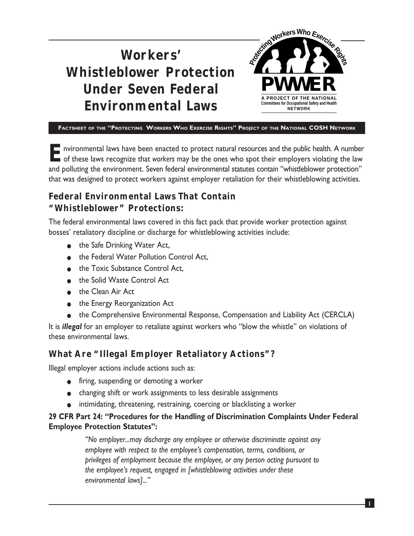### **Workers' Whistleblower Protection Under Seven Federal Environmental Laws** Reging Workers Who Exercises **Committees for Occupational Safety and H PROJECT OF THE NATIONA NETWORK PWWER**

**FACTSHEET OF THE "PROTECTING WORKERS WHO EXERCISE RIGHTS" PROJECT OF THE NATIONAL COSH NETWORK**

**E** nvironmental laws have been enacted to protect natural resources and the public health. A number<br>of these laws recognize that *workers* may be the ones who spot their employers violating the law and polluting the environment. Seven federal environmental statutes contain "whistleblower protection" that was designed to protect workers against employer retaliation for their whistleblowing activities.

# **Federal Environmental Laws That Contain "Whistleblower" Protections:**

The federal environmental laws covered in this fact pack that provide worker protection against bosses' retaliatory discipline or discharge for whistleblowing activities include:

- the Safe Drinking Water Act,
- the Federal Water Pollution Control Act,
- the Toxic Substance Control Act,
- the Solid Waste Control Act
- the Clean Air Act
- the Energy Reorganization Act
- the Comprehensive Environmental Response, Compensation and Liability Act (CERCLA)

It is *illegal* for an employer to retaliate against workers who "blow the whistle" on violations of these environmental laws.

# **What Are "Illegal Employer Retaliatory Actions"?**

Illegal employer actions include actions such as:

- firing, suspending or demoting a worker
- changing shift or work assignments to less desirable assignments
- intimidating, threatening, restraining, coercing or blacklisting a worker

### **29 CFR Part 24: "Procedures for the Handling of Discrimination Complaints Under Federal Employee Protection Statutes":**

*"No employer...may discharge any employee or otherwise discriminate against any employee with respect to the employee's compensation, terms, conditions, or privileges of employment because the employee, or any person acting pursuant to the employee's request, engaged in [whistleblowing activities under these environmental laws]..."*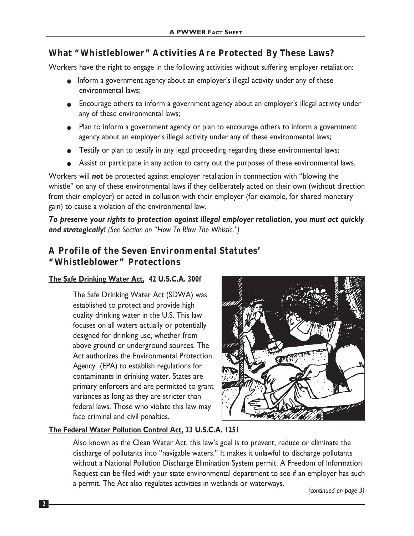## **What "Whistleblower" Activities Are Protected By These Laws?**

Workers have the right to engage in the following activities without suffering employer retaliation:

- Inform a government agency about an employer's illegal activity under any of these environmental laws;
- Encourage others to inform a government agency about an employer's illegal activity under any of these environmental laws;
- Plan to inform a government agency or plan to encourage others to inform a government agency about an employer's illegal activity under any of these environmental laws;
- Testify or plan to testify in any legal proceeding regarding these environmental laws;
- Assist or participate in any action to carry out the purposes of these environmental laws.

Workers will *not* be protected against employer retaliation in connnection with "blowing the whistle" on any of these environmental laws if they deliberately acted on their own (without direction from their employer) or acted in collusion with their employer (for example, for shared monetary gain) to cause a violation of the environmental law.

*To preserve your rights to protection against illegal employer retaliation, you must act quickly and strategically! (See Section on "How To Blow The Whistle.")*

## **A Profile of the Seven Environmental Statutes' "Whistleblower" Protections**

### **The Safe Drinking Water Act, 42 U.S.C.A. 300f**

The Safe Drinking Water Act (SDWA) was established to protect and provide high quality drinking water in the U.S. This law focuses on all waters actually or potentially designed for drinking use, whether from above ground or underground sources. The Act authorizes the Environmental Protection Agency (EPA) to establish regulations for contaminants in drinking water. States are primary enforcers and are permitted to grant variances as long as they are stricter than federal laws. Those who violate this law may face criminal and civil penalties.



### **The Federal Water Pollution Control Act, 33 U.S.C.A. 1251**

Also known as the Clean Water Act, this law's goal is to prevent, reduce or eliminate the discharge of pollutants into "navigable waters." It makes it unlawful to discharge pollutants without a National Pollution Discharge Elimination System permit. A Freedom of Information Request can be filed with your state environmental department to see if an employer has such a permit. The Act also regulates activities in wetlands or waterways. *(continued on page 3)*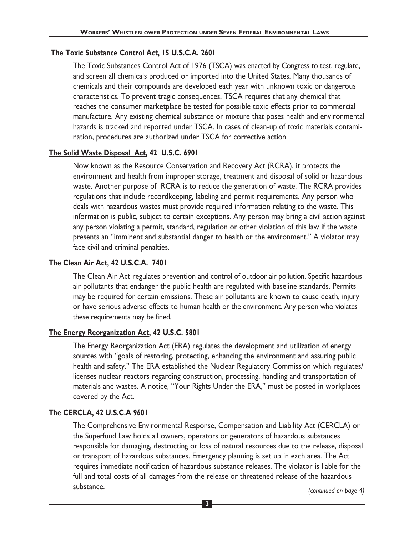#### **The Toxic Substance Control Act, 15 U.S.C.A. 2601**

The Toxic Substances Control Act of 1976 (TSCA) was enacted by Congress to test, regulate, and screen all chemicals produced or imported into the United States. Many thousands of chemicals and their compounds are developed each year with unknown toxic or dangerous characteristics. To prevent tragic consequences, TSCA requires that any chemical that reaches the consumer marketplace be tested for possible toxic effects prior to commercial manufacture. Any existing chemical substance or mixture that poses health and environmental hazards is tracked and reported under TSCA. In cases of clean-up of toxic materials contamination, procedures are authorized under TSCA for corrective action.

#### **The Solid Waste Disposal Act, 42 U.S.C. 6901**

Now known as the Resource Conservation and Recovery Act (RCRA), it protects the environment and health from improper storage, treatment and disposal of solid or hazardous waste. Another purpose of RCRA is to reduce the generation of waste. The RCRA provides regulations that include recordkeeping, labeling and permit requirements. Any person who deals with hazardous wastes must provide required information relating to the waste. This information is public, subject to certain exceptions. Any person may bring a civil action against any person violating a permit, standard, regulation or other violation of this law if the waste presents an "imminent and substantial danger to health or the environment." A violator may face civil and criminal penalties.

### **The Clean Air Act, 42 U.S.C.A. 7401**

The Clean Air Act regulates prevention and control of outdoor air pollution. Specific hazardous air pollutants that endanger the public health are regulated with baseline standards. Permits may be required for certain emissions. These air pollutants are known to cause death, injury or have serious adverse effects to human health or the environment. Any person who violates these requirements may be fined.

#### **The Energy Reorganization Act, 42 U.S.C. 5801**

The Energy Reorganization Act (ERA) regulates the development and utilization of energy sources with "goals of restoring, protecting, enhancing the environment and assuring public health and safety." The ERA established the Nuclear Regulatory Commission which regulates/ licenses nuclear reactors regarding construction, processing, handling and transportation of materials and wastes. A notice, "Your Rights Under the ERA," must be posted in workplaces covered by the Act.

### **The CERCLA, 42 U.S.C.A 9601**

The Comprehensive Environmental Response, Compensation and Liability Act (CERCLA) or the Superfund Law holds all owners, operators or generators of hazardous substances responsible for damaging, destructing or loss of natural resources due to the release, disposal or transport of hazardous substances. Emergency planning is set up in each area. The Act requires immediate notification of hazardous substance releases. The violator is liable for the full and total costs of all damages from the release or threatened release of the hazardous substance.

*(continued on page 4)*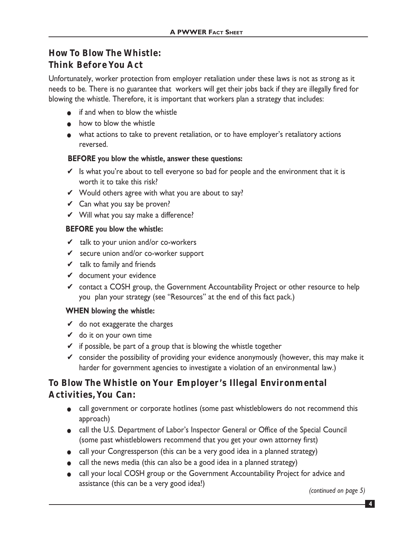# **How To Blow The Whistle: Think Before You Act**

Unfortunately, worker protection from employer retaliation under these laws is not as strong as it needs to be. There is no guarantee that workers will get their jobs back if they are illegally fired for blowing the whistle. Therefore, it is important that workers plan a strategy that includes:

- if and when to blow the whistle
- how to blow the whistle
- what actions to take to prevent retaliation, or to have employer's retaliatory actions reversed.

### **BEFORE you blow the whistle, answer these questions:**

- $\vee$  Is what you're about to tell everyone so bad for people and the environment that it is worth it to take this risk?
- $\checkmark$  Would others agree with what you are about to say?
- $\vee$  Can what you say be proven?
- $\mathcal V$  Will what you say make a difference?

### **BEFORE you blow the whistle:**

- $\mathbf{\mathcal{V}}$  talk to your union and/or co-workers
- ✔ secure union and/or co-worker support
- $\mathbf{\nabla}$  talk to family and friends
- ✔ document your evidence
- $\checkmark$  contact a COSH group, the Government Accountability Project or other resource to help you plan your strategy (see "Resources" at the end of this fact pack.)

#### **WHEN blowing the whistle:**

- $\vee$  do not exaggerate the charges
- $\mathbf{\check{v}}$  do it on your own time
- $\checkmark$  if possible, be part of a group that is blowing the whistle together
- $\checkmark$  consider the possibility of providing your evidence anonymously (however, this may make it harder for government agencies to investigate a violation of an environmental law.)

## **To Blow The Whistle on Your Employer's Illegal Environmental Activities, You Can:**

- call government or corporate hotlines (some past whistleblowers do not recommend this approach)
- call the U.S. Department of Labor's Inspector General or Office of the Special Council (some past whistleblowers recommend that you get your own attorney first)
- call your Congressperson (this can be a very good idea in a planned strategy)
- call the news media (this can also be a good idea in a planned strategy)
- call your local COSH group or the Government Accountability Project for advice and assistance (this can be a very good idea!)

*(continued on page 5)*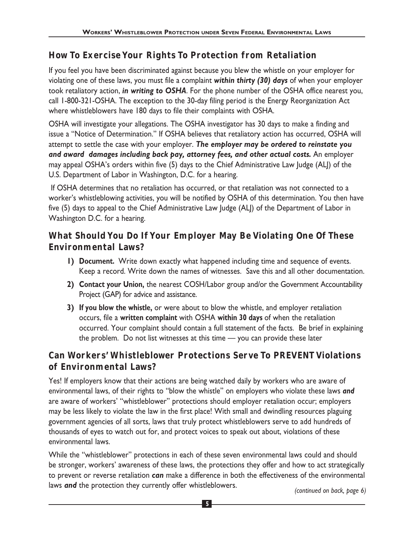# **How To Exercise Your Rights To Protection from Retaliation**

If you feel you have been discriminated against because you blew the whistle on your employer for violating one of these laws, you must file a complaint *within thirty (30) days* of when your employer took retaliatory action, *in writing to OSHA*. For the phone number of the OSHA office nearest you, call 1-800-321-OSHA. The exception to the 30-day filing period is the Energy Reorganization Act where whistleblowers have 180 days to file their complaints with OSHA.

OSHA will investigate your allegations. The OSHA investigator has 30 days to make a finding and issue a "Notice of Determination." If OSHA believes that retaliatory action has occurred, OSHA will attempt to settle the case with your employer. *The employer may be ordered to reinstate you and award damages including back pay, attorney fees, and other actual costs.* An employer may appeal OSHA's orders within five (5) days to the Chief Administrative Law Judge (ALJ) of the U.S. Department of Labor in Washington, D.C. for a hearing.

If OSHA determines that no retaliation has occurred, or that retaliation was not connected to a worker's whistleblowing activities, you will be notified by OSHA of this determination. You then have five (5) days to appeal to the Chief Administrative Law Judge (ALJ) of the Department of Labor in Washington D.C. for a hearing.

## **What Should You Do If Your Employer May Be Violating One Of These Environmental Laws?**

- **1) Document.** Write down exactly what happened including time and sequence of events. Keep a record. Write down the names of witnesses. Save this and all other documentation.
- **2) Contact your Union,** the nearest COSH/Labor group and/or the Government Accountability Project (GAP) for advice and assistance.
- **3) If you blow the whistle,** or were about to blow the whistle, and employer retaliation occurs, file a **written complaint** with OSHA **within 30 days** of when the retaliation occurred. Your complaint should contain a full statement of the facts. Be brief in explaining the problem. Do not list witnesses at this time — you can provide these later

# **Can Workers' Whistleblower Protections Serve To PREVENT Violations of Environmental Laws?**

Yes! If employers know that their actions are being watched daily by workers who are aware of environmental laws, of their rights to "blow the whistle" on employers who violate these laws *and* are aware of workers' "whistleblower" protections should employer retaliation occur; employers may be less likely to violate the law in the first place! With small and dwindling resources plaguing government agencies of all sorts, laws that truly protect whistleblowers serve to add hundreds of thousands of eyes to watch out for, and protect voices to speak out about, violations of these environmental laws.

While the "whistleblower" protections in each of these seven environmental laws could and should be stronger, workers' awareness of these laws, the protections they offer and how to act strategically to prevent or reverse retaliation *can* make a difference in both the effectiveness of the environmental laws *and* the protection they currently offer whistleblowers.

*(continued on back, page 6)*